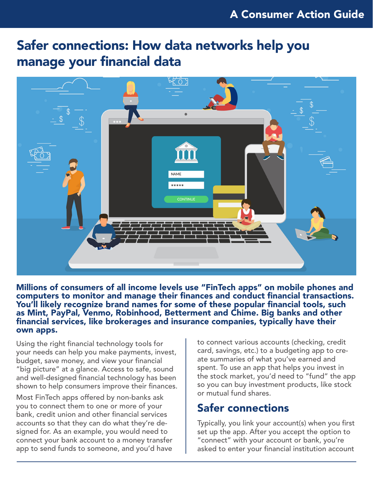# Safer connections: How data networks help you manage your financial data



Millions of consumers of all income levels use "FinTech apps" on mobile phones and computers to monitor and manage their finances and conduct financial transactions. You'll likely recognize brand names for some of these popular financial tools, such as Mint, PayPal, Venmo, Robinhood, Betterment and Chime. Big banks and other financial services, like brokerages and insurance companies, typically have their own apps.

Using the right financial technology tools for your needs can help you make payments, invest, budget, save money, and view your financial "big picture" at a glance. Access to safe, sound and well-designed financial technology has been shown to help consumers improve their finances.

Most FinTech apps offered by non-banks ask you to connect them to one or more of your bank, credit union and other financial services accounts so that they can do what they're designed for. As an example, you would need to connect your bank account to a money transfer app to send funds to someone, and you'd have

to connect various accounts (checking, credit card, savings, etc.) to a budgeting app to create summaries of what you've earned and spent. To use an app that helps you invest in the stock market, you'd need to "fund" the app so you can buy investment products, like stock or mutual fund shares.

#### Safer connections

Typically, you link your account(s) when you first set up the app. After you accept the option to "connect" with your account or bank, you're asked to enter your financial institution account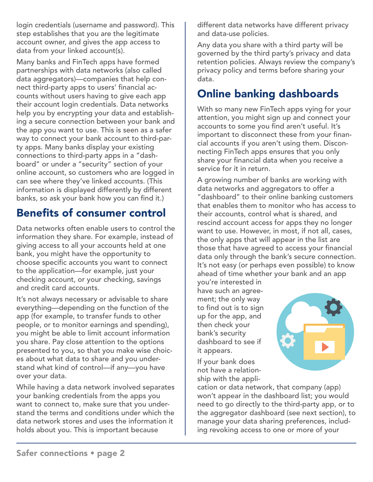login credentials (username and password). This step establishes that you are the legitimate account owner, and gives the app access to data from your linked account(s).

Many banks and FinTech apps have formed partnerships with data networks (also called data aggregators)—companies that help connect third-party apps to users' financial accounts without users having to give each app their account login credentials. Data networks help you by encrypting your data and establishing a secure connection between your bank and the app you want to use. This is seen as a safer way to connect your bank account to third-party apps. Many banks display your existing connections to third-party apps in a "dashboard" or under a "security" section of your online account, so customers who are logged in can see where they've linked accounts. (This information is displayed differently by different banks, so ask your bank how you can find it.)

#### Benefits of consumer control

Data networks often enable users to control the information they share. For example, instead of giving access to all your accounts held at one bank, you might have the opportunity to choose specific accounts you want to connect to the application—for example, just your checking account, or your checking, savings and credit card accounts.

It's not always necessary or advisable to share everything—depending on the function of the app (for example, to transfer funds to other people, or to monitor earnings and spending), you might be able to limit account information you share. Pay close attention to the options presented to you, so that you make wise choices about what data to share and you understand what kind of control—if any—you have over your data.

While having a data network involved separates your banking credentials from the apps you want to connect to, make sure that you understand the terms and conditions under which the data network stores and uses the information it holds about you. This is important because

different data networks have different privacy and data-use policies.

Any data you share with a third party will be governed by the third party's privacy and data retention policies. Always review the company's privacy policy and terms before sharing your data.

### Online banking dashboards

With so many new FinTech apps vying for your attention, you might sign up and connect your accounts to some you find aren't useful. It's important to disconnect these from your financial accounts if you aren't using them. Disconnecting FinTech apps ensures that you only share your financial data when you receive a service for it in return.

A growing number of banks are working with data networks and aggregators to offer a "dashboard" to their online banking customers that enables them to monitor who has access to their accounts, control what is shared, and rescind account access for apps they no longer want to use. However, in most, if not all, cases, the only apps that will appear in the list are those that have agreed to access your financial data only through the bank's secure connection. It's not easy (or perhaps even possible) to know ahead of time whether your bank and an app

you're interested in have such an agreement; the only way to find out is to sign up for the app, and then check your bank's security dashboard to see if it appears.

If your bank does not have a relationship with the appli-



cation or data network, that company (app) won't appear in the dashboard list; you would need to go directly to the third-party app, or to the aggregator dashboard (see next section), to manage your data sharing preferences, including revoking access to one or more of your